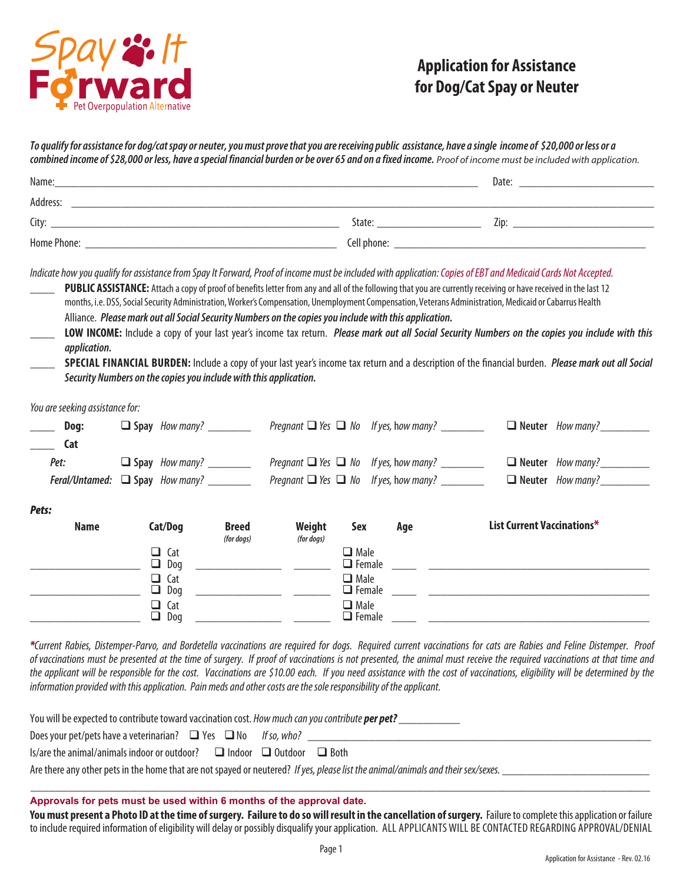

# **Application for Assistance for Dog/Cat Spay or Neuter**

To qualify for assistance for dog/cat spay or neuter, you must prove that you are receiving public assistance, have a single income of \$20,000 or less or a  combined income of \$28,000 or less, have a special financial burden or be over 65 and on a fixed income. Proof of income must be included with application.

| Name:       |             | Date: |
|-------------|-------------|-------|
| Address:    |             |       |
| City:       | State:      | Zip:  |
| Home Phone: | Cell phone: |       |

Indicate how you qualify for assistance from Spay It Forward, Proof of income must be included with application: Copies of EBT and Medicaid Cards Not Accepted.

PUBLIC ASSISTANCE: Attach a copy of proof of benefits letter from any and all of the following that you are currently receiving or have received in the last 12  months, i.e. DSS, Social Security Administration, Worker's Compensation, Unemployment Compensation, Veterans Administration, Medicaid or Cabarrus Health

Alliance. *Please mark out all Social Security Numbers on the copies you include with this application.* 

LOW INCOME: Include a copy of your last year's income tax return. *Please mark out all Social Security Numbers on the copies you include with this application.* 

**Special Financial Burden:** Include a copy of your last year's income tax return and a description of the financial burden. *Please mark out all Social Security Numbers on the copies you include with this application.* 

*You are seeking assistance for:*

| Dog:                                        | $\Box$ Spay How many? | Pregnant $\Box$ Yes $\Box$ No If yes, how many? |  | $\Box$ Neuter How many?        |
|---------------------------------------------|-----------------------|-------------------------------------------------|--|--------------------------------|
| Cat                                         |                       |                                                 |  |                                |
| Pet:                                        | $\Box$ Spay How many? | Pregnant $\Box$ Yes $\Box$ No If yes, how many? |  | $\Box$ Neuter <i>How many?</i> |
| <b>Feral/Untamed:</b> $\Box$ Spay How many? |                       | Pregnant $\Box$ Yes $\Box$ No If yes, how many? |  | $\Box$ Neuter How many?        |

#### *Pets:*

| <b>Name</b> | Cat/Dog                 | <b>Breed</b><br>(for dogs) | Weight<br>(for dogs) | Sex                             | Age | List Current Vaccinations* |
|-------------|-------------------------|----------------------------|----------------------|---------------------------------|-----|----------------------------|
|             | $\Box$ Cat<br>Dog<br>□. |                            |                      | $\Box$ Male<br>$\Box$ Female    |     |                            |
|             | $\Box$ Cat<br>Dog<br>⊐  |                            |                      | $\square$ Male<br>$\Box$ Female |     |                            |
|             | $\Box$ Cat<br>Dog       |                            |                      | $\Box$ Male<br>$\Box$ Female    |     |                            |

\*Current Rabies, Distemper-Parvo, and Bordetella vaccinations are required for dogs. Required current vaccinations for cats are Rabies and Feline Distemper. Proof  of vaccinations must be presented at the time of surgery. If proof of vaccinations is not presented, the animal must receive the required vaccinations at that time and the applicant will be responsible for the cost. Vaccinations are \$10.00 each. If you need assistance with the cost of vaccinations, eligibility will be determined by the information provided with this application. Pain meds and other costs are the sole responsibility of the applicant.

| You will be expected to contribute toward vaccination cost. How much can you contribute per pet?                                  |  |  |  |
|-----------------------------------------------------------------------------------------------------------------------------------|--|--|--|
| Does your pet/pets have a veterinarian? $\Box$ Yes $\Box$ No If so, who?                                                          |  |  |  |
| Is/are the animal/animals indoor or outdoor? $\square$ Indoor $\square$ Outdoor $\square$ Both                                    |  |  |  |
| Are there any other pets in the home that are not spayed or neutered? If yes, please list the animal/animals and their sex/sexes. |  |  |  |

**Approvals for pets must be used within 6 months of the approval date.**

You must present a Photo ID at the time of surgery. Failure to do so will result in the cancellation of surgery. Failure to complete this application or failure to include required information of eligibility will delay or possibly disqualify your application. ALL APPLICANTS WILL BE CONTACTED REGARDING APPROVAL/DENIAL

\_\_\_\_\_\_\_\_\_\_\_\_\_\_\_\_\_\_\_\_\_\_\_\_\_\_\_\_\_\_\_\_\_\_\_\_\_\_\_\_\_\_\_\_\_\_\_\_\_\_\_\_\_\_\_\_\_\_\_\_\_\_\_\_\_\_\_\_\_\_\_\_\_\_\_\_\_\_\_\_\_\_\_\_\_\_\_\_\_\_\_\_\_\_\_\_\_\_\_\_\_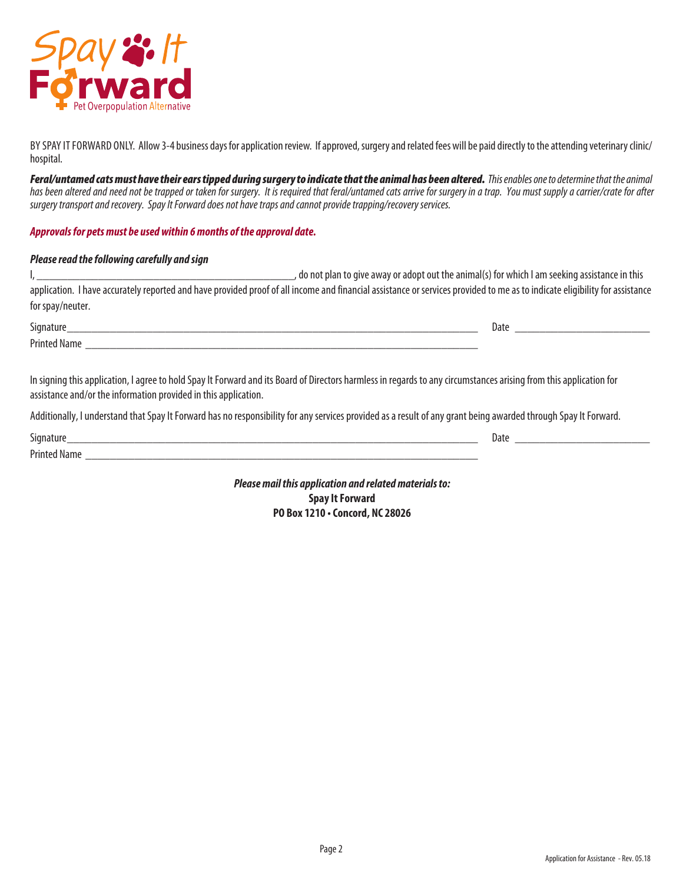

BY SPAY IT FORWARD ONLY. Allow 3-4 business days for application review. If approved, surgery and related fees will be paid directly to the attending veterinary clinic/ hospital.

Feral/untamed cats must have their ears tipped during surgery to indicate that the animal has been altered. This enables one to determine that the animal has been altered and need not be trapped or taken for surgery. It is required that feral/untamed cats arrive for surgery in a trap. You must supply a carrier/crate for after *surgery transport and recovery. Spay It Forward does not have traps and cannot provide trapping/recovery services.* 

**Approvals for pets must be used within 6 months of the approval date.**

### *Please read the following carefully and sign*

|                  | do not plan to give away or adopt out the animal(s) for which I am seeking assistance in this                                                                               |
|------------------|-----------------------------------------------------------------------------------------------------------------------------------------------------------------------------|
|                  | application. I have accurately reported and have provided proof of all income and financial assistance or services provided to me as to indicate eligibility for assistance |
| for spay/neuter. |                                                                                                                                                                             |

| Signature                                                                                                                                                          | Date |
|--------------------------------------------------------------------------------------------------------------------------------------------------------------------|------|
| <b>Printed Name</b>                                                                                                                                                |      |
|                                                                                                                                                                    |      |
| In signing this application, I agree to hold Spay It Forward and its Board of Directors harmless in regards to any circumstances arising from this application for |      |

assistance and/or the information provided in this application.

Additionally, I understand that Spay It Forward has no responsibility for any services provided as a result of any grant being awarded through Spay It Forward.

| $\sim$       | vate |
|--------------|------|
| $\sim$<br>aг |      |

*Please mail this application and related materials to:* **Spay It Forward PO Box 1210 • Concord, NC 28026**